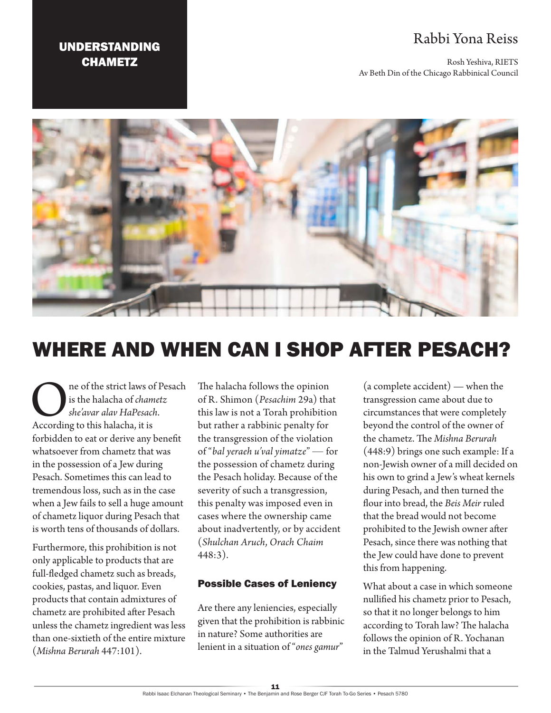## Rabbi Yona Reiss

Rosh Yeshiva, RIETS Av Beth Din of the Chicago Rabbinical Council

### UNDERSTANDING **CHAMETZ**



# WHERE AND WHEN CAN I SHOP AFTER PESACH?

**C** is the strict laws of Pesach<br>
she'avar alav HaPesach.<br>
According to this halacha, it is is the halacha of *chametz she'avar alav HaPesach*. forbidden to eat or derive any benefit whatsoever from chametz that was in the possession of a Jew during Pesach. Sometimes this can lead to tremendous loss, such as in the case when a Jew fails to sell a huge amount of chametz liquor during Pesach that is worth tens of thousands of dollars.

Furthermore, this prohibition is not only applicable to products that are full-fledged chametz such as breads, cookies, pastas, and liquor. Even products that contain admixtures of chametz are prohibited after Pesach unless the chametz ingredient was less than one-sixtieth of the entire mixture (*Mishna Berurah* 447:101).

The halacha follows the opinion of R. Shimon (*Pesachim* 29a) that this law is not a Torah prohibition but rather a rabbinic penalty for the transgression of the violation of "*bal yeraeh u'val yimatze*" — for the possession of chametz during the Pesach holiday. Because of the severity of such a transgression, this penalty was imposed even in cases where the ownership came about inadvertently, or by accident (*Shulchan Aruch*, *Orach Chaim* 448:3).

#### Possible Cases of Leniency

Are there any leniencies, especially given that the prohibition is rabbinic in nature? Some authorities are lenient in a situation of "*ones gamur*"

(a complete accident) — when the transgression came about due to circumstances that were completely beyond the control of the owner of the chametz. The *Mishna Berurah* (448:9) brings one such example: If a non-Jewish owner of a mill decided on his own to grind a Jew's wheat kernels during Pesach, and then turned the flour into bread, the *Beis Meir* ruled that the bread would not become prohibited to the Jewish owner after Pesach, since there was nothing that the Jew could have done to prevent this from happening.

What about a case in which someone nullified his chametz prior to Pesach, so that it no longer belongs to him according to Torah law? The halacha follows the opinion of R. Yochanan in the Talmud Yerushalmi that a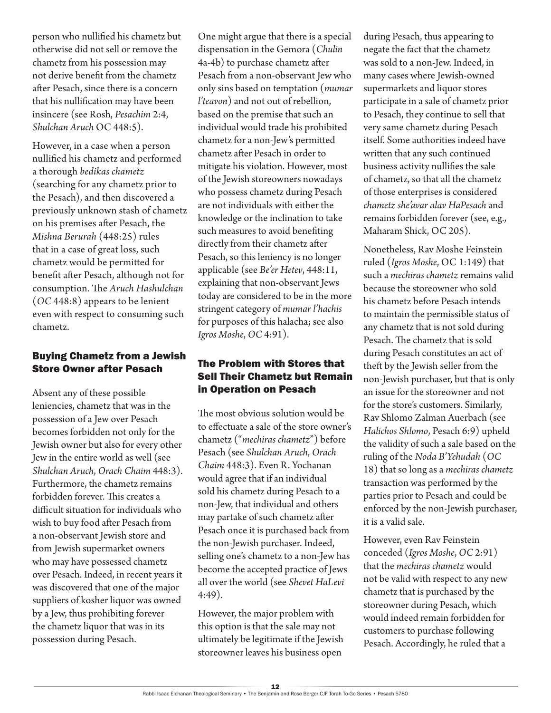person who nullified his chametz but otherwise did not sell or remove the chametz from his possession may not derive benefit from the chametz after Pesach, since there is a concern that his nullification may have been insincere (see Rosh, *Pesachim* 2:4, *Shulchan Aruch* OC 448:5).

However, in a case when a person nullified his chametz and performed a thorough *bedikas chametz*  (searching for any chametz prior to the Pesach), and then discovered a previously unknown stash of chametz on his premises after Pesach, the *Mishna Berurah* (448:25) rules that in a case of great loss, such chametz would be permitted for benefit after Pesach, although not for consumption. The *Aruch Hashulchan* (*OC* 448:8) appears to be lenient even with respect to consuming such chametz.

#### Buying Chametz from a Jewish Store Owner after Pesach

Absent any of these possible leniencies, chametz that was in the possession of a Jew over Pesach becomes forbidden not only for the Jewish owner but also for every other Jew in the entire world as well (see *Shulchan Aruch*, *Orach Chaim* 448:3). Furthermore, the chametz remains forbidden forever. This creates a difficult situation for individuals who wish to buy food after Pesach from a non-observant Jewish store and from Jewish supermarket owners who may have possessed chametz over Pesach. Indeed, in recent years it was discovered that one of the major suppliers of kosher liquor was owned by a Jew, thus prohibiting forever the chametz liquor that was in its possession during Pesach.

One might argue that there is a special dispensation in the Gemora (*Chulin* 4a-4b) to purchase chametz after Pesach from a non-observant Jew who only sins based on temptation (*mumar l'teavon*) and not out of rebellion, based on the premise that such an individual would trade his prohibited chametz for a non-Jew's permitted chametz after Pesach in order to mitigate his violation. However, most of the Jewish storeowners nowadays who possess chametz during Pesach are not individuals with either the knowledge or the inclination to take such measures to avoid benefiting directly from their chametz after Pesach, so this leniency is no longer applicable (see *Be'er Hetev*, 448:11, explaining that non-observant Jews today are considered to be in the more stringent category of *mumar l'hachis*  for purposes of this halacha; see also *Igros Moshe*, *OC* 4:91).

#### The Problem with Stores that Sell Their Chametz but Remain in Operation on Pesach

The most obvious solution would be to effectuate a sale of the store owner's chametz ("*mechiras chametz*") before Pesach (see *Shulchan Aruch*, *Orach Chaim* 448:3). Even R. Yochanan would agree that if an individual sold his chametz during Pesach to a non-Jew, that individual and others may partake of such chametz after Pesach once it is purchased back from the non-Jewish purchaser. Indeed, selling one's chametz to a non-Jew has become the accepted practice of Jews all over the world (see *Shevet HaLevi* 4:49).

However, the major problem with this option is that the sale may not ultimately be legitimate if the Jewish storeowner leaves his business open

during Pesach, thus appearing to negate the fact that the chametz was sold to a non-Jew. Indeed, in many cases where Jewish-owned supermarkets and liquor stores participate in a sale of chametz prior to Pesach, they continue to sell that very same chametz during Pesach itself. Some authorities indeed have written that any such continued business activity nullifies the sale of chametz, so that all the chametz of those enterprises is considered *chametz she'avar alav HaPesach* and remains forbidden forever (see, e.g., Maharam Shick, OC 205).

Nonetheless, Rav Moshe Feinstein ruled (*Igros Moshe*, OC 1:149) that such a *mechiras chametz* remains valid because the storeowner who sold his chametz before Pesach intends to maintain the permissible status of any chametz that is not sold during Pesach. The chametz that is sold during Pesach constitutes an act of theft by the Jewish seller from the non-Jewish purchaser, but that is only an issue for the storeowner and not for the store's customers. Similarly, Rav Shlomo Zalman Auerbach (see *Halichos Shlomo*, Pesach 6:9) upheld the validity of such a sale based on the ruling of the *Noda B'Yehudah* (*OC* 18) that so long as a *mechiras chametz* transaction was performed by the parties prior to Pesach and could be enforced by the non-Jewish purchaser, it is a valid sale.

However, even Rav Feinstein conceded (*Igros Moshe*, *OC* 2:91) that the *mechiras chametz* would not be valid with respect to any new chametz that is purchased by the storeowner during Pesach, which would indeed remain forbidden for customers to purchase following Pesach. Accordingly, he ruled that a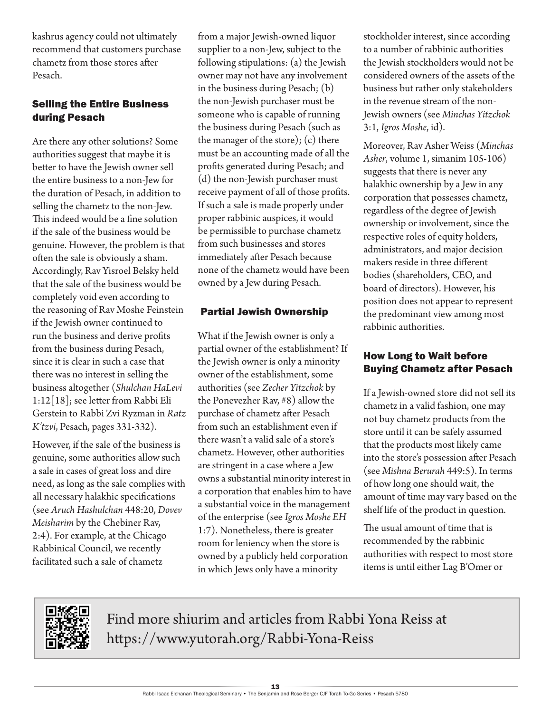kashrus agency could not ultimately recommend that customers purchase chametz from those stores after Pesach.

#### Selling the Entire Business during Pesach

Are there any other solutions? Some authorities suggest that maybe it is better to have the Jewish owner sell the entire business to a non-Jew for the duration of Pesach, in addition to selling the chametz to the non-Jew. This indeed would be a fine solution if the sale of the business would be genuine. However, the problem is that often the sale is obviously a sham. Accordingly, Rav Yisroel Belsky held that the sale of the business would be completely void even according to the reasoning of Rav Moshe Feinstein if the Jewish owner continued to run the business and derive profits from the business during Pesach, since it is clear in such a case that there was no interest in selling the business altogether (*Shulchan HaLevi* 1:12[18]; see letter from Rabbi Eli Gerstein to Rabbi Zvi Ryzman in *Ratz K'tzvi*, Pesach, pages 331-332).

However, if the sale of the business is genuine, some authorities allow such a sale in cases of great loss and dire need, as long as the sale complies with all necessary halakhic specifications (see *Aruch Hashulchan* 448:20, *Dovev Meisharim* by the Chebiner Rav, 2:4). For example, at the Chicago Rabbinical Council, we recently facilitated such a sale of chametz

from a major Jewish-owned liquor supplier to a non-Jew, subject to the following stipulations: (a) the Jewish owner may not have any involvement in the business during Pesach; (b) the non-Jewish purchaser must be someone who is capable of running the business during Pesach (such as the manager of the store); (c) there must be an accounting made of all the profits generated during Pesach; and (d) the non-Jewish purchaser must receive payment of all of those profits. If such a sale is made properly under proper rabbinic auspices, it would be permissible to purchase chametz from such businesses and stores immediately after Pesach because none of the chametz would have been owned by a Jew during Pesach.

#### Partial Jewish Ownership

What if the Jewish owner is only a partial owner of the establishment? If the Jewish owner is only a minority owner of the establishment, some authorities (see *Zecher Yitzchok* by the Ponevezher Rav, #8) allow the purchase of chametz after Pesach from such an establishment even if there wasn't a valid sale of a store's chametz. However, other authorities are stringent in a case where a Jew owns a substantial minority interest in a corporation that enables him to have a substantial voice in the management of the enterprise (see *Igros Moshe EH* 1:7). Nonetheless, there is greater room for leniency when the store is owned by a publicly held corporation in which Jews only have a minority

stockholder interest, since according to a number of rabbinic authorities the Jewish stockholders would not be considered owners of the assets of the business but rather only stakeholders in the revenue stream of the non-Jewish owners (see *Minchas Yitzchok* 3:1, *Igros Moshe*, id).

Moreover, Rav Asher Weiss (*Minchas Asher*, volume 1, simanim 105-106) suggests that there is never any halakhic ownership by a Jew in any corporation that possesses chametz, regardless of the degree of Jewish ownership or involvement, since the respective roles of equity holders, administrators, and major decision makers reside in three different bodies (shareholders, CEO, and board of directors). However, his position does not appear to represent the predominant view among most rabbinic authorities.

#### How Long to Wait before Buying Chametz after Pesach

If a Jewish-owned store did not sell its chametz in a valid fashion, one may not buy chametz products from the store until it can be safely assumed that the products most likely came into the store's possession after Pesach (see *Mishna Berurah* 449:5). In terms of how long one should wait, the amount of time may vary based on the shelf life of the product in question.

The usual amount of time that is recommended by the rabbinic authorities with respect to most store items is until either Lag B'Omer or



Find more shiurim and articles from Rabbi Yona Reiss at https://www.yutorah.org/Rabbi-Yona-Reiss